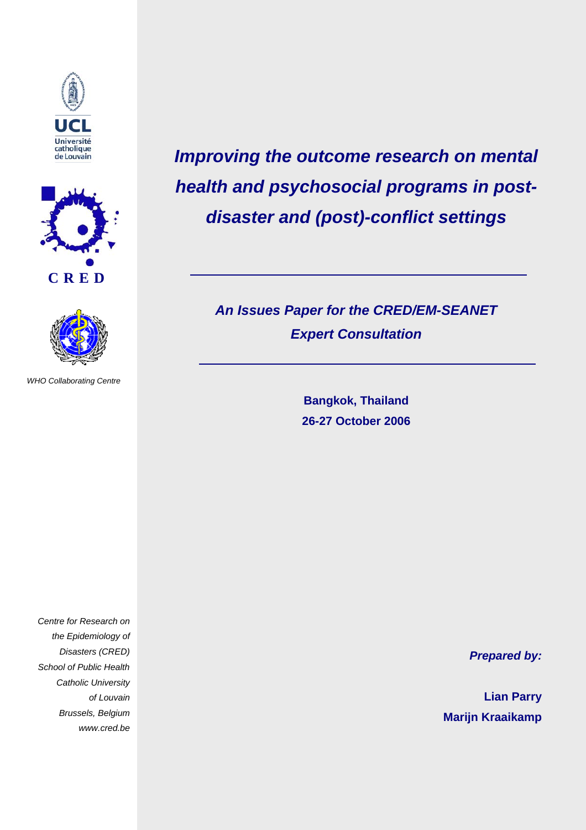





 *WHO Collaborating Centre* 

*Improving the outcome research on mental health and psychosocial programs in postdisaster and (post)-conflict settings* 

> *An Issues Paper for the CRED/EM-SEANET Expert Consultation*

> > **Bangkok, Thailand 26-27 October 2006**

*Centre for Research on the Epidemiology of Disasters (CRED) School of Public Health Catholic University of Louvain Brussels, Belgium www.cred.be* 

*Prepared by:* 

**Lian Parry Marijn Kraaikamp**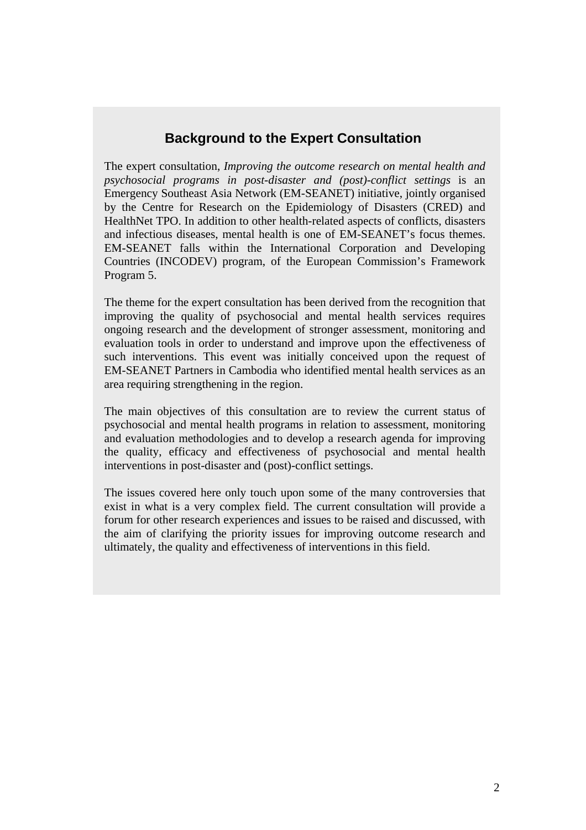### **Background to the Expert Consultation**

The expert consultation, *Improving the outcome research on mental health and psychosocial programs in post-disaster and (post)-conflict settings* is an Emergency Southeast Asia Network (EM-SEANET) initiative, jointly organised by the Centre for Research on the Epidemiology of Disasters (CRED) and HealthNet TPO. In addition to other health-related aspects of conflicts, disasters and infectious diseases, mental health is one of EM-SEANET's focus themes. EM-SEANET falls within the International Corporation and Developing Countries (INCODEV) program, of the European Commission's Framework Program 5.

The theme for the expert consultation has been derived from the recognition that improving the quality of psychosocial and mental health services requires ongoing research and the development of stronger assessment, monitoring and evaluation tools in order to understand and improve upon the effectiveness of such interventions. This event was initially conceived upon the request of EM-SEANET Partners in Cambodia who identified mental health services as an area requiring strengthening in the region.

The main objectives of this consultation are to review the current status of psychosocial and mental health programs in relation to assessment, monitoring and evaluation methodologies and to develop a research agenda for improving the quality, efficacy and effectiveness of psychosocial and mental health interventions in post-disaster and (post)-conflict settings.

The issues covered here only touch upon some of the many controversies that exist in what is a very complex field. The current consultation will provide a forum for other research experiences and issues to be raised and discussed, with the aim of clarifying the priority issues for improving outcome research and ultimately, the quality and effectiveness of interventions in this field.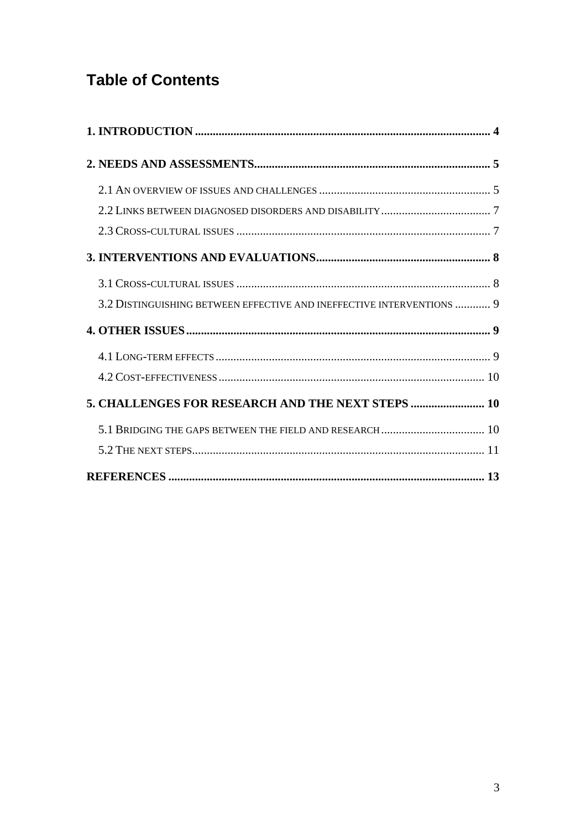# **Table of Contents**

| 3.2 DISTINGUISHING BETWEEN EFFECTIVE AND INEFFECTIVE INTERVENTIONS  9 |  |
|-----------------------------------------------------------------------|--|
|                                                                       |  |
|                                                                       |  |
|                                                                       |  |
| 5. CHALLENGES FOR RESEARCH AND THE NEXT STEPS  10                     |  |
| 5.1 BRIDGING THE GAPS BETWEEN THE FIELD AND RESEARCH  10              |  |
|                                                                       |  |
|                                                                       |  |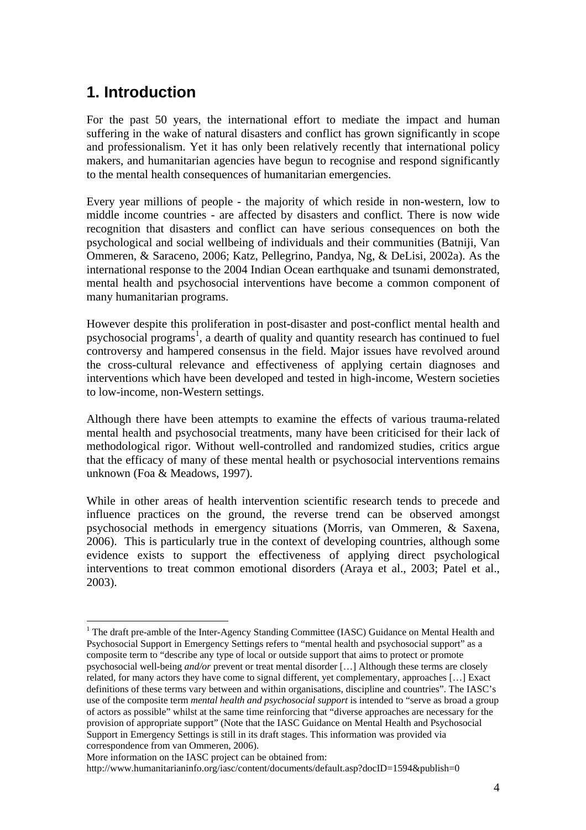# **1. Introduction**

For the past 50 years, the international effort to mediate the impact and human suffering in the wake of natural disasters and conflict has grown significantly in scope and professionalism. Yet it has only been relatively recently that international policy makers, and humanitarian agencies have begun to recognise and respond significantly to the mental health consequences of humanitarian emergencies.

Every year millions of people - the majority of which reside in non-western, low to middle income countries - are affected by disasters and conflict. There is now wide recognition that disasters and conflict can have serious consequences on both the psychological and social wellbeing of individuals and their communities (Batniji, Van Ommeren, & Saraceno, 2006; Katz, Pellegrino, Pandya, Ng, & DeLisi, 2002a). As the international response to the 2004 Indian Ocean earthquake and tsunami demonstrated, mental health and psychosocial interventions have become a common component of many humanitarian programs.

However despite this proliferation in post-disaster and post-conflict mental health and psychosocial programs<sup>1</sup>, a dearth of quality and quantity research has continued to fuel controversy and hampered consensus in the field. Major issues have revolved around the cross-cultural relevance and effectiveness of applying certain diagnoses and interventions which have been developed and tested in high-income, Western societies to low-income, non-Western settings.

Although there have been attempts to examine the effects of various trauma-related mental health and psychosocial treatments, many have been criticised for their lack of methodological rigor. Without well-controlled and randomized studies, critics argue that the efficacy of many of these mental health or psychosocial interventions remains unknown (Foa & Meadows, 1997).

While in other areas of health intervention scientific research tends to precede and influence practices on the ground, the reverse trend can be observed amongst psychosocial methods in emergency situations (Morris, van Ommeren, & Saxena, 2006). This is particularly true in the context of developing countries, although some evidence exists to support the effectiveness of applying direct psychological interventions to treat common emotional disorders (Araya et al., 2003; Patel et al., 2003).

 $\overline{a}$ 

<sup>&</sup>lt;sup>1</sup> The draft pre-amble of the Inter-Agency Standing Committee (IASC) Guidance on Mental Health and Psychosocial Support in Emergency Settings refers to "mental health and psychosocial support" as a composite term to "describe any type of local or outside support that aims to protect or promote psychosocial well-being *and/or* prevent or treat mental disorder […] Although these terms are closely related, for many actors they have come to signal different, yet complementary, approaches […] Exact definitions of these terms vary between and within organisations, discipline and countries". The IASC's use of the composite term *mental health and psychosocial support* is intended to "serve as broad a group of actors as possible" whilst at the same time reinforcing that "diverse approaches are necessary for the provision of appropriate support" (Note that the IASC Guidance on Mental Health and Psychosocial Support in Emergency Settings is still in its draft stages. This information was provided via correspondence from van Ommeren, 2006).

More information on the IASC project can be obtained from:

http://www.humanitarianinfo.org/iasc/content/documents/default.asp?docID=1594&publish=0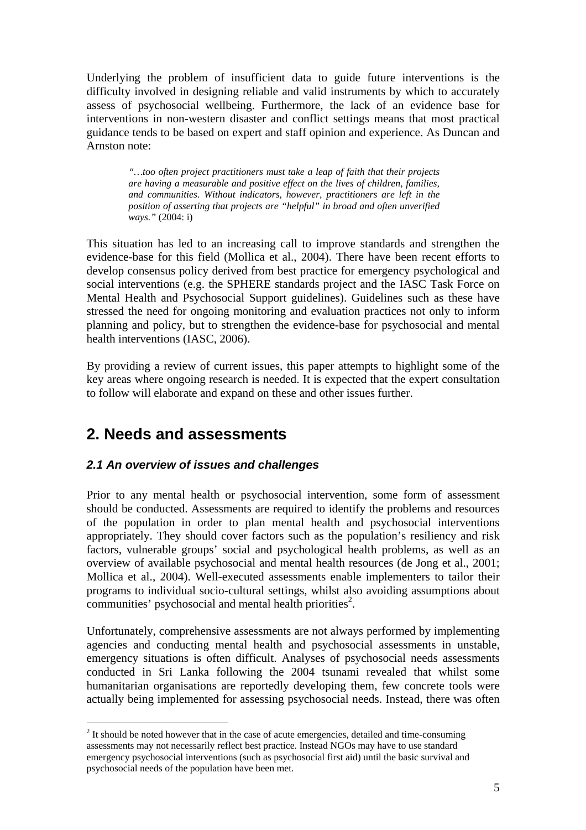Underlying the problem of insufficient data to guide future interventions is the difficulty involved in designing reliable and valid instruments by which to accurately assess of psychosocial wellbeing. Furthermore, the lack of an evidence base for interventions in non-western disaster and conflict settings means that most practical guidance tends to be based on expert and staff opinion and experience. As Duncan and Arnston note:

> *"…too often project practitioners must take a leap of faith that their projects are having a measurable and positive effect on the lives of children, families, and communities. Without indicators, however, practitioners are left in the position of asserting that projects are "helpful" in broad and often unverified ways."* (2004: i)

This situation has led to an increasing call to improve standards and strengthen the evidence-base for this field (Mollica et al., 2004). There have been recent efforts to develop consensus policy derived from best practice for emergency psychological and social interventions (e.g. the SPHERE standards project and the IASC Task Force on Mental Health and Psychosocial Support guidelines). Guidelines such as these have stressed the need for ongoing monitoring and evaluation practices not only to inform planning and policy, but to strengthen the evidence-base for psychosocial and mental health interventions (IASC, 2006).

By providing a review of current issues, this paper attempts to highlight some of the key areas where ongoing research is needed. It is expected that the expert consultation to follow will elaborate and expand on these and other issues further.

### **2. Needs and assessments**

 $\overline{a}$ 

#### *2.1 An overview of issues and challenges*

Prior to any mental health or psychosocial intervention, some form of assessment should be conducted. Assessments are required to identify the problems and resources of the population in order to plan mental health and psychosocial interventions appropriately. They should cover factors such as the population's resiliency and risk factors, vulnerable groups' social and psychological health problems, as well as an overview of available psychosocial and mental health resources (de Jong et al., 2001; Mollica et al., 2004). Well-executed assessments enable implementers to tailor their programs to individual socio-cultural settings, whilst also avoiding assumptions about communities' psychosocial and mental health priorities<sup>2</sup>.

Unfortunately, comprehensive assessments are not always performed by implementing agencies and conducting mental health and psychosocial assessments in unstable, emergency situations is often difficult. Analyses of psychosocial needs assessments conducted in Sri Lanka following the 2004 tsunami revealed that whilst some humanitarian organisations are reportedly developing them, few concrete tools were actually being implemented for assessing psychosocial needs. Instead, there was often

 $2<sup>2</sup>$  It should be noted however that in the case of acute emergencies, detailed and time-consuming assessments may not necessarily reflect best practice. Instead NGOs may have to use standard emergency psychosocial interventions (such as psychosocial first aid) until the basic survival and psychosocial needs of the population have been met.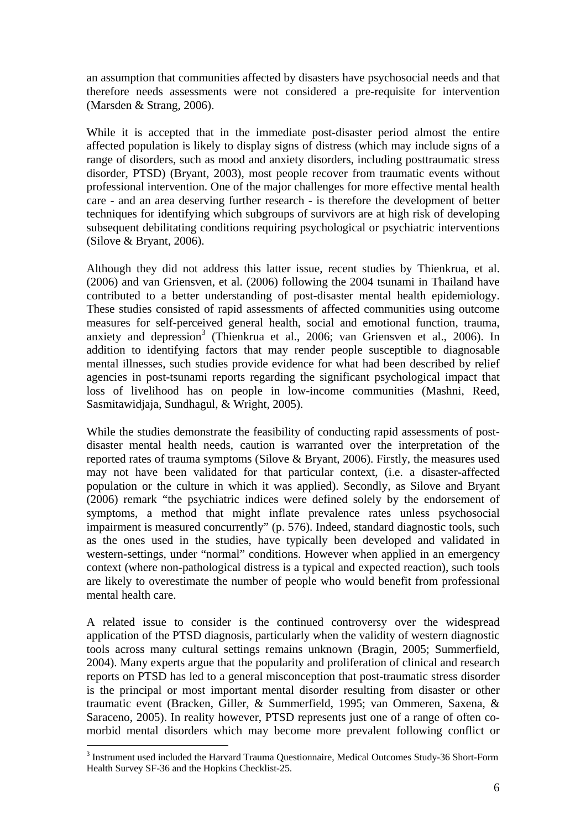an assumption that communities affected by disasters have psychosocial needs and that therefore needs assessments were not considered a pre-requisite for intervention (Marsden & Strang, 2006).

While it is accepted that in the immediate post-disaster period almost the entire affected population is likely to display signs of distress (which may include signs of a range of disorders, such as mood and anxiety disorders, including posttraumatic stress disorder, PTSD) (Bryant, 2003), most people recover from traumatic events without professional intervention. One of the major challenges for more effective mental health care - and an area deserving further research - is therefore the development of better techniques for identifying which subgroups of survivors are at high risk of developing subsequent debilitating conditions requiring psychological or psychiatric interventions (Silove & Bryant, 2006).

Although they did not address this latter issue, recent studies by Thienkrua, et al. (2006) and van Griensven, et al. (2006) following the 2004 tsunami in Thailand have contributed to a better understanding of post-disaster mental health epidemiology. These studies consisted of rapid assessments of affected communities using outcome measures for self-perceived general health, social and emotional function, trauma, anxiety and depression<sup>3</sup> (Thienkrua et al., 2006; van Griensven et al., 2006). In addition to identifying factors that may render people susceptible to diagnosable mental illnesses, such studies provide evidence for what had been described by relief agencies in post-tsunami reports regarding the significant psychological impact that loss of livelihood has on people in low-income communities (Mashni, Reed, Sasmitawidjaja, Sundhagul, & Wright, 2005).

While the studies demonstrate the feasibility of conducting rapid assessments of postdisaster mental health needs, caution is warranted over the interpretation of the reported rates of trauma symptoms (Silove & Bryant, 2006). Firstly, the measures used may not have been validated for that particular context, (i.e. a disaster-affected population or the culture in which it was applied). Secondly, as Silove and Bryant (2006) remark "the psychiatric indices were defined solely by the endorsement of symptoms, a method that might inflate prevalence rates unless psychosocial impairment is measured concurrently" (p. 576). Indeed, standard diagnostic tools, such as the ones used in the studies, have typically been developed and validated in western-settings, under "normal" conditions. However when applied in an emergency context (where non-pathological distress is a typical and expected reaction), such tools are likely to overestimate the number of people who would benefit from professional mental health care.

A related issue to consider is the continued controversy over the widespread application of the PTSD diagnosis, particularly when the validity of western diagnostic tools across many cultural settings remains unknown (Bragin, 2005; Summerfield, 2004). Many experts argue that the popularity and proliferation of clinical and research reports on PTSD has led to a general misconception that post-traumatic stress disorder is the principal or most important mental disorder resulting from disaster or other traumatic event (Bracken, Giller, & Summerfield, 1995; van Ommeren, Saxena, & Saraceno, 2005). In reality however, PTSD represents just one of a range of often comorbid mental disorders which may become more prevalent following conflict or

 $\overline{a}$ 

<sup>&</sup>lt;sup>3</sup> Instrument used included the Harvard Trauma Questionnaire, Medical Outcomes Study-36 Short-Form Health Survey SF-36 and the Hopkins Checklist-25.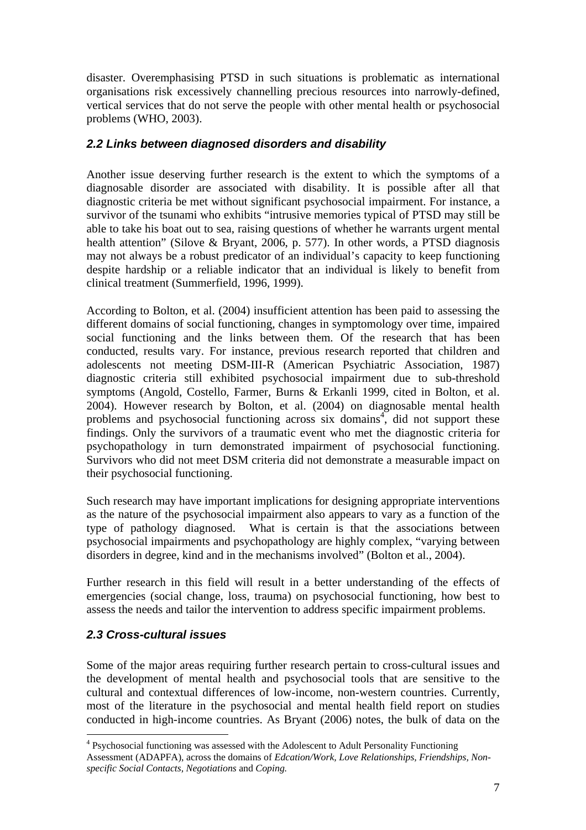disaster. Overemphasising PTSD in such situations is problematic as international organisations risk excessively channelling precious resources into narrowly-defined, vertical services that do not serve the people with other mental health or psychosocial problems (WHO, 2003).

#### *2.2 Links between diagnosed disorders and disability*

Another issue deserving further research is the extent to which the symptoms of a diagnosable disorder are associated with disability. It is possible after all that diagnostic criteria be met without significant psychosocial impairment. For instance, a survivor of the tsunami who exhibits "intrusive memories typical of PTSD may still be able to take his boat out to sea, raising questions of whether he warrants urgent mental health attention" (Silove & Bryant, 2006, p. 577). In other words, a PTSD diagnosis may not always be a robust predicator of an individual's capacity to keep functioning despite hardship or a reliable indicator that an individual is likely to benefit from clinical treatment (Summerfield, 1996, 1999).

According to Bolton, et al. (2004) insufficient attention has been paid to assessing the different domains of social functioning, changes in symptomology over time, impaired social functioning and the links between them. Of the research that has been conducted, results vary. For instance, previous research reported that children and adolescents not meeting DSM-III-R (American Psychiatric Association, 1987) diagnostic criteria still exhibited psychosocial impairment due to sub-threshold symptoms (Angold, Costello, Farmer, Burns & Erkanli 1999, cited in Bolton, et al. 2004). However research by Bolton, et al. (2004) on diagnosable mental health problems and psychosocial functioning across six domains<sup>4</sup>, did not support these findings. Only the survivors of a traumatic event who met the diagnostic criteria for psychopathology in turn demonstrated impairment of psychosocial functioning. Survivors who did not meet DSM criteria did not demonstrate a measurable impact on their psychosocial functioning.

Such research may have important implications for designing appropriate interventions as the nature of the psychosocial impairment also appears to vary as a function of the type of pathology diagnosed. What is certain is that the associations between psychosocial impairments and psychopathology are highly complex, "varying between disorders in degree, kind and in the mechanisms involved" (Bolton et al., 2004).

Further research in this field will result in a better understanding of the effects of emergencies (social change, loss, trauma) on psychosocial functioning, how best to assess the needs and tailor the intervention to address specific impairment problems.

#### *2.3 Cross-cultural issues*

 $\overline{a}$ 

Some of the major areas requiring further research pertain to cross-cultural issues and the development of mental health and psychosocial tools that are sensitive to the cultural and contextual differences of low-income, non-western countries. Currently, most of the literature in the psychosocial and mental health field report on studies conducted in high-income countries. As Bryant (2006) notes, the bulk of data on the

<sup>&</sup>lt;sup>4</sup> Psychosocial functioning was assessed with the Adolescent to Adult Personality Functioning Assessment (ADAPFA), across the domains of *Edcation/Work, Love Relationships, Friendships, Nonspecific Social Contacts, Negotiations* and *Coping.*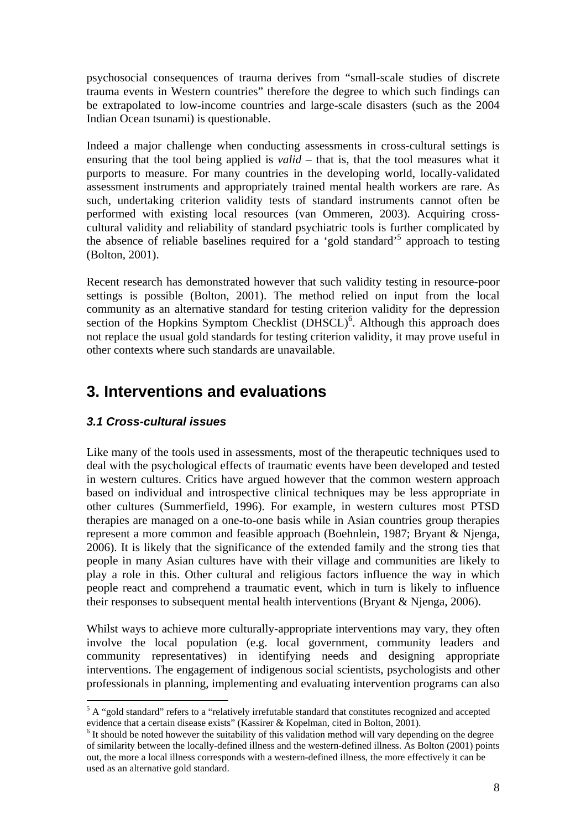psychosocial consequences of trauma derives from "small-scale studies of discrete trauma events in Western countries" therefore the degree to which such findings can be extrapolated to low-income countries and large-scale disasters (such as the 2004 Indian Ocean tsunami) is questionable.

Indeed a major challenge when conducting assessments in cross-cultural settings is ensuring that the tool being applied is *valid* – that is, that the tool measures what it purports to measure. For many countries in the developing world, locally-validated assessment instruments and appropriately trained mental health workers are rare. As such, undertaking criterion validity tests of standard instruments cannot often be performed with existing local resources (van Ommeren, 2003). Acquiring crosscultural validity and reliability of standard psychiatric tools is further complicated by the absence of reliable baselines required for a 'gold standard'<sup>5</sup> approach to testing (Bolton, 2001).

Recent research has demonstrated however that such validity testing in resource-poor settings is possible (Bolton, 2001). The method relied on input from the local community as an alternative standard for testing criterion validity for the depression section of the Hopkins Symptom Checklist (DHSCL)<sup>6</sup>. Although this approach does not replace the usual gold standards for testing criterion validity, it may prove useful in other contexts where such standards are unavailable.

# **3. Interventions and evaluations**

#### *3.1 Cross-cultural issues*

Like many of the tools used in assessments, most of the therapeutic techniques used to deal with the psychological effects of traumatic events have been developed and tested in western cultures. Critics have argued however that the common western approach based on individual and introspective clinical techniques may be less appropriate in other cultures (Summerfield, 1996). For example, in western cultures most PTSD therapies are managed on a one-to-one basis while in Asian countries group therapies represent a more common and feasible approach (Boehnlein, 1987; Bryant & Njenga, 2006). It is likely that the significance of the extended family and the strong ties that people in many Asian cultures have with their village and communities are likely to play a role in this. Other cultural and religious factors influence the way in which people react and comprehend a traumatic event, which in turn is likely to influence their responses to subsequent mental health interventions (Bryant & Njenga, 2006).

Whilst ways to achieve more culturally-appropriate interventions may vary, they often involve the local population (e.g. local government, community leaders and community representatives) in identifying needs and designing appropriate interventions. The engagement of indigenous social scientists, psychologists and other professionals in planning, implementing and evaluating intervention programs can also

 $\overline{a}$  $5$  A "gold standard" refers to a "relatively irrefutable standard that constitutes recognized and accepted evidence that a certain disease exists" (Kassirer & Kopelman, cited in Bolton, 2001).

 $<sup>6</sup>$  It should be noted however the suitability of this validation method will vary depending on the degree</sup> of similarity between the locally-defined illness and the western-defined illness. As Bolton (2001) points out, the more a local illness corresponds with a western-defined illness, the more effectively it can be used as an alternative gold standard.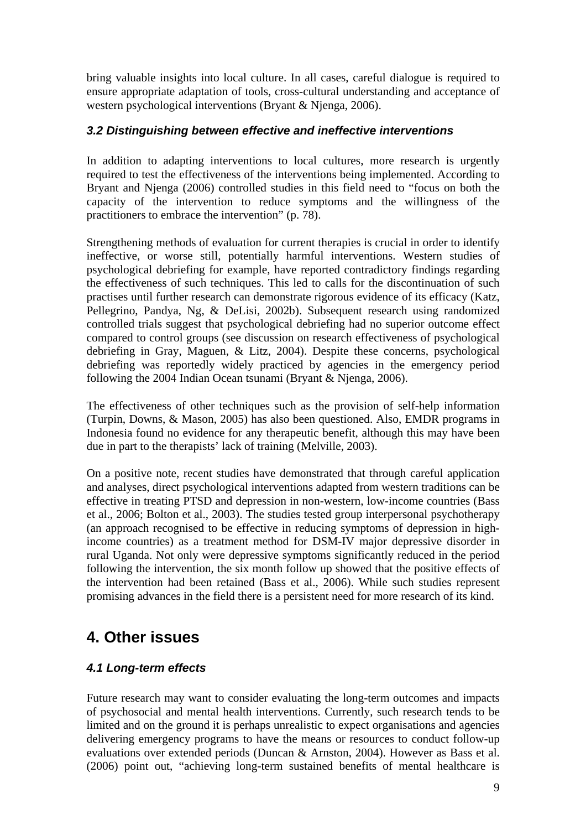bring valuable insights into local culture. In all cases, careful dialogue is required to ensure appropriate adaptation of tools, cross-cultural understanding and acceptance of western psychological interventions (Bryant & Njenga, 2006).

#### *3.2 Distinguishing between effective and ineffective interventions*

In addition to adapting interventions to local cultures, more research is urgently required to test the effectiveness of the interventions being implemented. According to Bryant and Njenga (2006) controlled studies in this field need to "focus on both the capacity of the intervention to reduce symptoms and the willingness of the practitioners to embrace the intervention" (p. 78).

Strengthening methods of evaluation for current therapies is crucial in order to identify ineffective, or worse still, potentially harmful interventions. Western studies of psychological debriefing for example, have reported contradictory findings regarding the effectiveness of such techniques. This led to calls for the discontinuation of such practises until further research can demonstrate rigorous evidence of its efficacy (Katz, Pellegrino, Pandya, Ng, & DeLisi, 2002b). Subsequent research using randomized controlled trials suggest that psychological debriefing had no superior outcome effect compared to control groups (see discussion on research effectiveness of psychological debriefing in Gray, Maguen, & Litz, 2004). Despite these concerns, psychological debriefing was reportedly widely practiced by agencies in the emergency period following the 2004 Indian Ocean tsunami (Bryant & Njenga, 2006).

The effectiveness of other techniques such as the provision of self-help information (Turpin, Downs, & Mason, 2005) has also been questioned. Also, EMDR programs in Indonesia found no evidence for any therapeutic benefit, although this may have been due in part to the therapists' lack of training (Melville, 2003).

On a positive note, recent studies have demonstrated that through careful application and analyses, direct psychological interventions adapted from western traditions can be effective in treating PTSD and depression in non-western, low-income countries (Bass et al., 2006; Bolton et al., 2003). The studies tested group interpersonal psychotherapy (an approach recognised to be effective in reducing symptoms of depression in highincome countries) as a treatment method for DSM-IV major depressive disorder in rural Uganda. Not only were depressive symptoms significantly reduced in the period following the intervention, the six month follow up showed that the positive effects of the intervention had been retained (Bass et al., 2006). While such studies represent promising advances in the field there is a persistent need for more research of its kind.

### **4. Other issues**

#### *4.1 Long-term effects*

Future research may want to consider evaluating the long-term outcomes and impacts of psychosocial and mental health interventions. Currently, such research tends to be limited and on the ground it is perhaps unrealistic to expect organisations and agencies delivering emergency programs to have the means or resources to conduct follow-up evaluations over extended periods (Duncan & Arnston, 2004). However as Bass et al. (2006) point out, "achieving long-term sustained benefits of mental healthcare is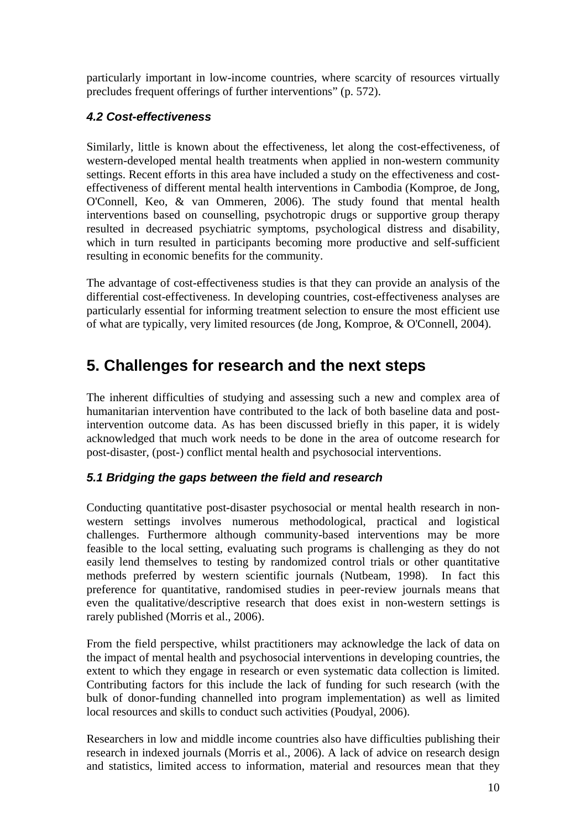particularly important in low-income countries, where scarcity of resources virtually precludes frequent offerings of further interventions" (p. 572).

#### *4.2 Cost-effectiveness*

Similarly, little is known about the effectiveness, let along the cost-effectiveness, of western-developed mental health treatments when applied in non-western community settings. Recent efforts in this area have included a study on the effectiveness and costeffectiveness of different mental health interventions in Cambodia (Komproe, de Jong, O'Connell, Keo, & van Ommeren, 2006). The study found that mental health interventions based on counselling, psychotropic drugs or supportive group therapy resulted in decreased psychiatric symptoms, psychological distress and disability, which in turn resulted in participants becoming more productive and self-sufficient resulting in economic benefits for the community.

The advantage of cost-effectiveness studies is that they can provide an analysis of the differential cost-effectiveness. In developing countries, cost-effectiveness analyses are particularly essential for informing treatment selection to ensure the most efficient use of what are typically, very limited resources (de Jong, Komproe, & O'Connell, 2004).

# **5. Challenges for research and the next steps**

The inherent difficulties of studying and assessing such a new and complex area of humanitarian intervention have contributed to the lack of both baseline data and postintervention outcome data. As has been discussed briefly in this paper, it is widely acknowledged that much work needs to be done in the area of outcome research for post-disaster, (post-) conflict mental health and psychosocial interventions.

### *5.1 Bridging the gaps between the field and research*

Conducting quantitative post-disaster psychosocial or mental health research in nonwestern settings involves numerous methodological, practical and logistical challenges. Furthermore although community-based interventions may be more feasible to the local setting, evaluating such programs is challenging as they do not easily lend themselves to testing by randomized control trials or other quantitative methods preferred by western scientific journals (Nutbeam, 1998). In fact this preference for quantitative, randomised studies in peer-review journals means that even the qualitative/descriptive research that does exist in non-western settings is rarely published (Morris et al., 2006).

From the field perspective, whilst practitioners may acknowledge the lack of data on the impact of mental health and psychosocial interventions in developing countries, the extent to which they engage in research or even systematic data collection is limited. Contributing factors for this include the lack of funding for such research (with the bulk of donor-funding channelled into program implementation) as well as limited local resources and skills to conduct such activities (Poudyal, 2006).

Researchers in low and middle income countries also have difficulties publishing their research in indexed journals (Morris et al., 2006). A lack of advice on research design and statistics, limited access to information, material and resources mean that they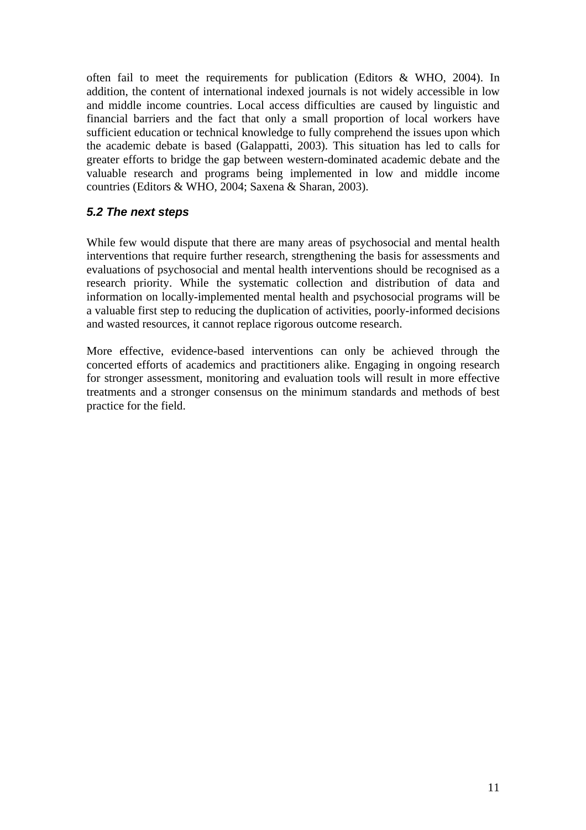often fail to meet the requirements for publication (Editors & WHO, 2004). In addition, the content of international indexed journals is not widely accessible in low and middle income countries. Local access difficulties are caused by linguistic and financial barriers and the fact that only a small proportion of local workers have sufficient education or technical knowledge to fully comprehend the issues upon which the academic debate is based (Galappatti, 2003). This situation has led to calls for greater efforts to bridge the gap between western-dominated academic debate and the valuable research and programs being implemented in low and middle income countries (Editors & WHO, 2004; Saxena & Sharan, 2003).

#### *5.2 The next steps*

While few would dispute that there are many areas of psychosocial and mental health interventions that require further research, strengthening the basis for assessments and evaluations of psychosocial and mental health interventions should be recognised as a research priority. While the systematic collection and distribution of data and information on locally-implemented mental health and psychosocial programs will be a valuable first step to reducing the duplication of activities, poorly-informed decisions and wasted resources, it cannot replace rigorous outcome research.

More effective, evidence-based interventions can only be achieved through the concerted efforts of academics and practitioners alike. Engaging in ongoing research for stronger assessment, monitoring and evaluation tools will result in more effective treatments and a stronger consensus on the minimum standards and methods of best practice for the field.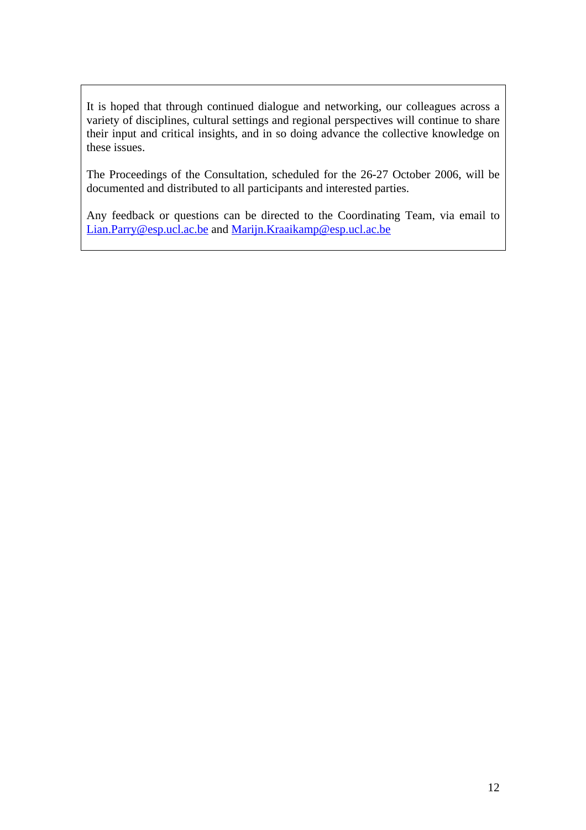It is hoped that through continued dialogue and networking, our colleagues across a variety of disciplines, cultural settings and regional perspectives will continue to share their input and critical insights, and in so doing advance the collective knowledge on these issues.

The Proceedings of the Consultation, scheduled for the 26-27 October 2006, will be documented and distributed to all participants and interested parties.

Any feedback or questions can be directed to the Coordinating Team, via email to Lian.Parry@esp.ucl.ac.be and Marijn.Kraaikamp@esp.ucl.ac.be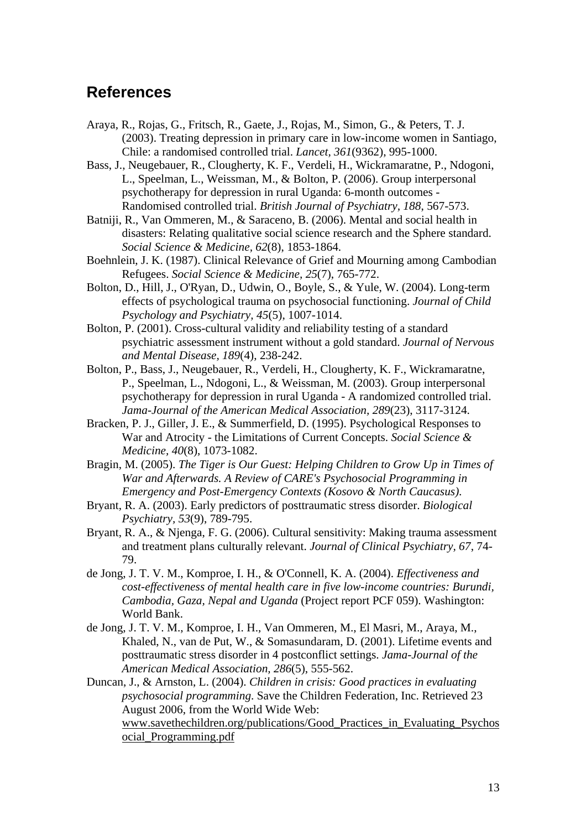### **References**

- Araya, R., Rojas, G., Fritsch, R., Gaete, J., Rojas, M., Simon, G., & Peters, T. J. (2003). Treating depression in primary care in low-income women in Santiago, Chile: a randomised controlled trial. *Lancet, 361*(9362), 995-1000.
- Bass, J., Neugebauer, R., Clougherty, K. F., Verdeli, H., Wickramaratne, P., Ndogoni, L., Speelman, L., Weissman, M., & Bolton, P. (2006). Group interpersonal psychotherapy for depression in rural Uganda: 6-month outcomes - Randomised controlled trial. *British Journal of Psychiatry, 188*, 567-573.
- Batniji, R., Van Ommeren, M., & Saraceno, B. (2006). Mental and social health in disasters: Relating qualitative social science research and the Sphere standard. *Social Science & Medicine, 62*(8), 1853-1864.
- Boehnlein, J. K. (1987). Clinical Relevance of Grief and Mourning among Cambodian Refugees. *Social Science & Medicine, 25*(7), 765-772.
- Bolton, D., Hill, J., O'Ryan, D., Udwin, O., Boyle, S., & Yule, W. (2004). Long-term effects of psychological trauma on psychosocial functioning. *Journal of Child Psychology and Psychiatry, 45*(5), 1007-1014.
- Bolton, P. (2001). Cross-cultural validity and reliability testing of a standard psychiatric assessment instrument without a gold standard. *Journal of Nervous and Mental Disease, 189*(4), 238-242.
- Bolton, P., Bass, J., Neugebauer, R., Verdeli, H., Clougherty, K. F., Wickramaratne, P., Speelman, L., Ndogoni, L., & Weissman, M. (2003). Group interpersonal psychotherapy for depression in rural Uganda - A randomized controlled trial. *Jama-Journal of the American Medical Association, 289*(23), 3117-3124.
- Bracken, P. J., Giller, J. E., & Summerfield, D. (1995). Psychological Responses to War and Atrocity - the Limitations of Current Concepts. *Social Science & Medicine, 40*(8), 1073-1082.
- Bragin, M. (2005). *The Tiger is Our Guest: Helping Children to Grow Up in Times of War and Afterwards. A Review of CARE's Psychosocial Programming in Emergency and Post-Emergency Contexts (Kosovo & North Caucasus)*.
- Bryant, R. A. (2003). Early predictors of posttraumatic stress disorder. *Biological Psychiatry, 53*(9), 789-795.
- Bryant, R. A., & Njenga, F. G. (2006). Cultural sensitivity: Making trauma assessment and treatment plans culturally relevant. *Journal of Clinical Psychiatry, 67*, 74- 79.
- de Jong, J. T. V. M., Komproe, I. H., & O'Connell, K. A. (2004). *Effectiveness and cost-effectiveness of mental health care in five low-income countries: Burundi, Cambodia, Gaza, Nepal and Uganda* (Project report PCF 059). Washington: World Bank.
- de Jong, J. T. V. M., Komproe, I. H., Van Ommeren, M., El Masri, M., Araya, M., Khaled, N., van de Put, W., & Somasundaram, D. (2001). Lifetime events and posttraumatic stress disorder in 4 postconflict settings. *Jama-Journal of the American Medical Association, 286*(5), 555-562.

Duncan, J., & Arnston, L. (2004). *Children in crisis: Good practices in evaluating psychosocial programming*. Save the Children Federation, Inc. Retrieved 23 August 2006, from the World Wide Web: www.savethechildren.org/publications/Good Practices in Evaluating Psychos ocial\_Programming.pdf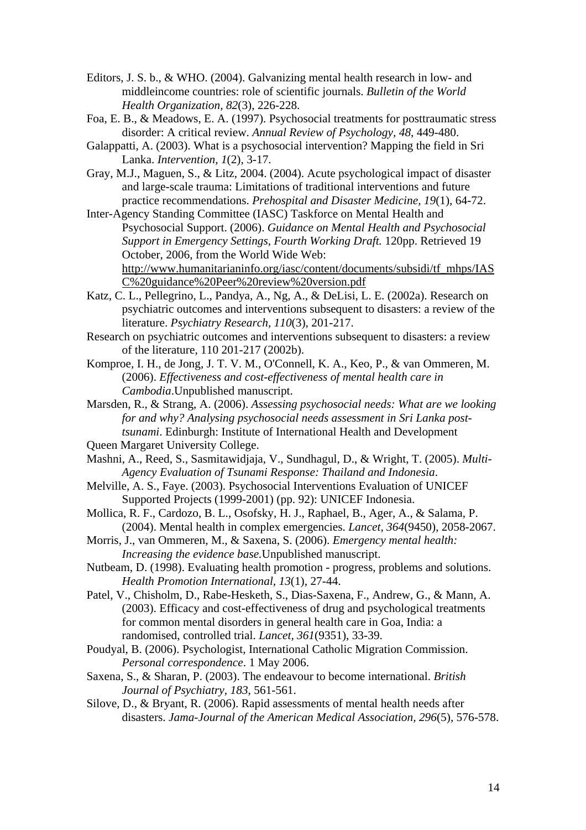- Editors, J. S. b., & WHO. (2004). Galvanizing mental health research in low- and middleincome countries: role of scientific journals. *Bulletin of the World Health Organization, 82*(3), 226-228.
- Foa, E. B., & Meadows, E. A. (1997). Psychosocial treatments for posttraumatic stress disorder: A critical review. *Annual Review of Psychology, 48*, 449-480.
- Galappatti, A. (2003). What is a psychosocial intervention? Mapping the field in Sri Lanka. *Intervention, 1*(2), 3-17.
- Gray, M.J., Maguen, S., & Litz, 2004. (2004). Acute psychological impact of disaster and large-scale trauma: Limitations of traditional interventions and future practice recommendations. *Prehospital and Disaster Medicine, 19*(1), 64-72.
- Inter-Agency Standing Committee (IASC) Taskforce on Mental Health and Psychosocial Support. (2006). *Guidance on Mental Health and Psychosocial Support in Emergency Settings, Fourth Working Draft.* 120pp. Retrieved 19 October, 2006, from the World Wide Web: http://www.humanitarianinfo.org/iasc/content/documents/subsidi/tf\_mhps/IAS C%20guidance%20Peer%20review%20version.pdf
- Katz, C. L., Pellegrino, L., Pandya, A., Ng, A., & DeLisi, L. E. (2002a). Research on psychiatric outcomes and interventions subsequent to disasters: a review of the literature. *Psychiatry Research, 110*(3), 201-217.
- Research on psychiatric outcomes and interventions subsequent to disasters: a review of the literature, 110 201-217 (2002b).
- Komproe, I. H., de Jong, J. T. V. M., O'Connell, K. A., Keo, P., & van Ommeren, M. (2006). *Effectiveness and cost-effectiveness of mental health care in Cambodia*.Unpublished manuscript.
- Marsden, R., & Strang, A. (2006). *Assessing psychosocial needs: What are we looking for and why? Analysing psychosocial needs assessment in Sri Lanka posttsunami*. Edinburgh: Institute of International Health and Development Queen Margaret University College.
- Mashni, A., Reed, S., Sasmitawidjaja, V., Sundhagul, D., & Wright, T. (2005). *Multi-*
- *Agency Evaluation of Tsunami Response: Thailand and Indonesia*.
- Melville, A. S., Faye. (2003). Psychosocial Interventions Evaluation of UNICEF Supported Projects (1999-2001) (pp. 92): UNICEF Indonesia.
- Mollica, R. F., Cardozo, B. L., Osofsky, H. J., Raphael, B., Ager, A., & Salama, P. (2004). Mental health in complex emergencies. *Lancet, 364*(9450), 2058-2067.
- Morris, J., van Ommeren, M., & Saxena, S. (2006). *Emergency mental health: Increasing the evidence base.*Unpublished manuscript.
- Nutbeam, D. (1998). Evaluating health promotion progress, problems and solutions. *Health Promotion International, 13*(1), 27-44.
- Patel, V., Chisholm, D., Rabe-Hesketh, S., Dias-Saxena, F., Andrew, G., & Mann, A. (2003). Efficacy and cost-effectiveness of drug and psychological treatments for common mental disorders in general health care in Goa, India: a randomised, controlled trial. *Lancet, 361*(9351), 33-39.
- Poudyal, B. (2006). Psychologist, International Catholic Migration Commission. *Personal correspondence*. 1 May 2006.
- Saxena, S., & Sharan, P. (2003). The endeavour to become international. *British Journal of Psychiatry, 183*, 561-561.
- Silove, D., & Bryant, R. (2006). Rapid assessments of mental health needs after disasters. *Jama-Journal of the American Medical Association, 296*(5), 576-578.